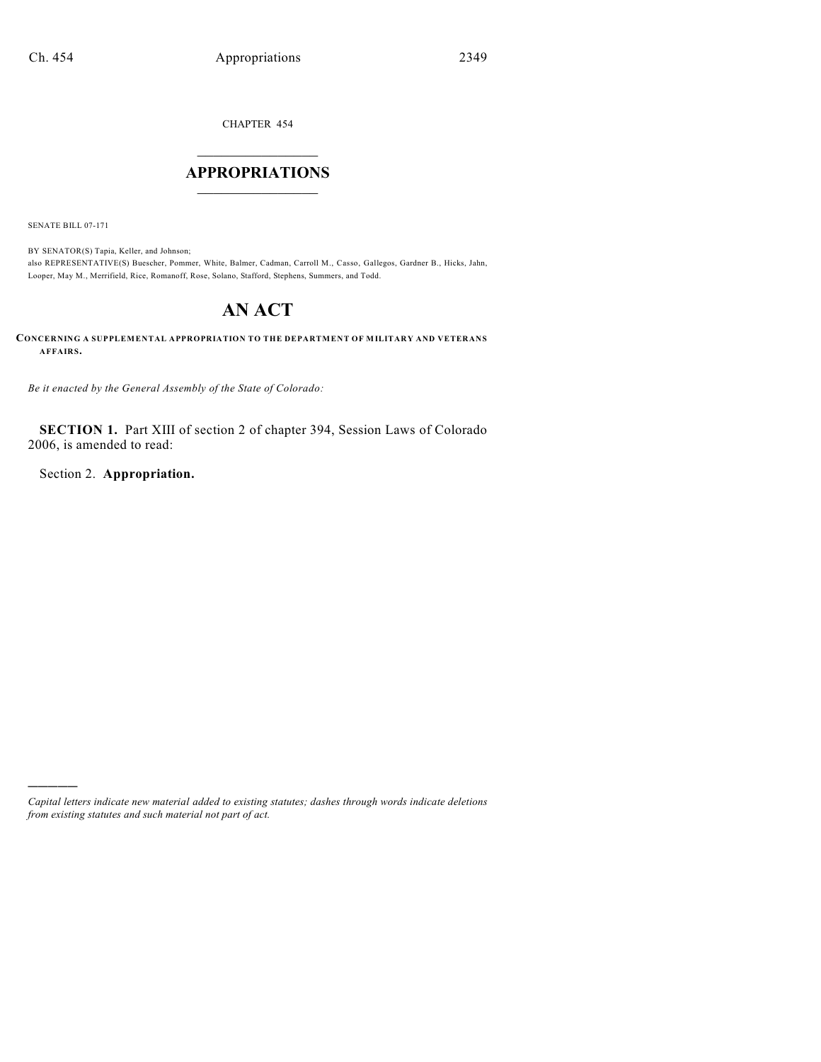CHAPTER 454

# $\overline{\phantom{a}}$  . The set of the set of the set of the set of the set of the set of the set of the set of the set of the set of the set of the set of the set of the set of the set of the set of the set of the set of the set o **APPROPRIATIONS**  $\_$   $\_$   $\_$   $\_$   $\_$   $\_$   $\_$   $\_$

SENATE BILL 07-171

)))))

BY SENATOR(S) Tapia, Keller, and Johnson; also REPRESENTATIVE(S) Buescher, Pommer, White, Balmer, Cadman, Carroll M., Casso, Gallegos, Gardner B., Hicks, Jahn, Looper, May M., Merrifield, Rice, Romanoff, Rose, Solano, Stafford, Stephens, Summers, and Todd.

# **AN ACT**

**CONCERNING A SUPPLEMENTAL APPROPRIATION TO THE DEPARTMENT OF MILITARY AND VETERANS AFFAIRS.**

*Be it enacted by the General Assembly of the State of Colorado:*

**SECTION 1.** Part XIII of section 2 of chapter 394, Session Laws of Colorado 2006, is amended to read:

Section 2. **Appropriation.**

*Capital letters indicate new material added to existing statutes; dashes through words indicate deletions from existing statutes and such material not part of act.*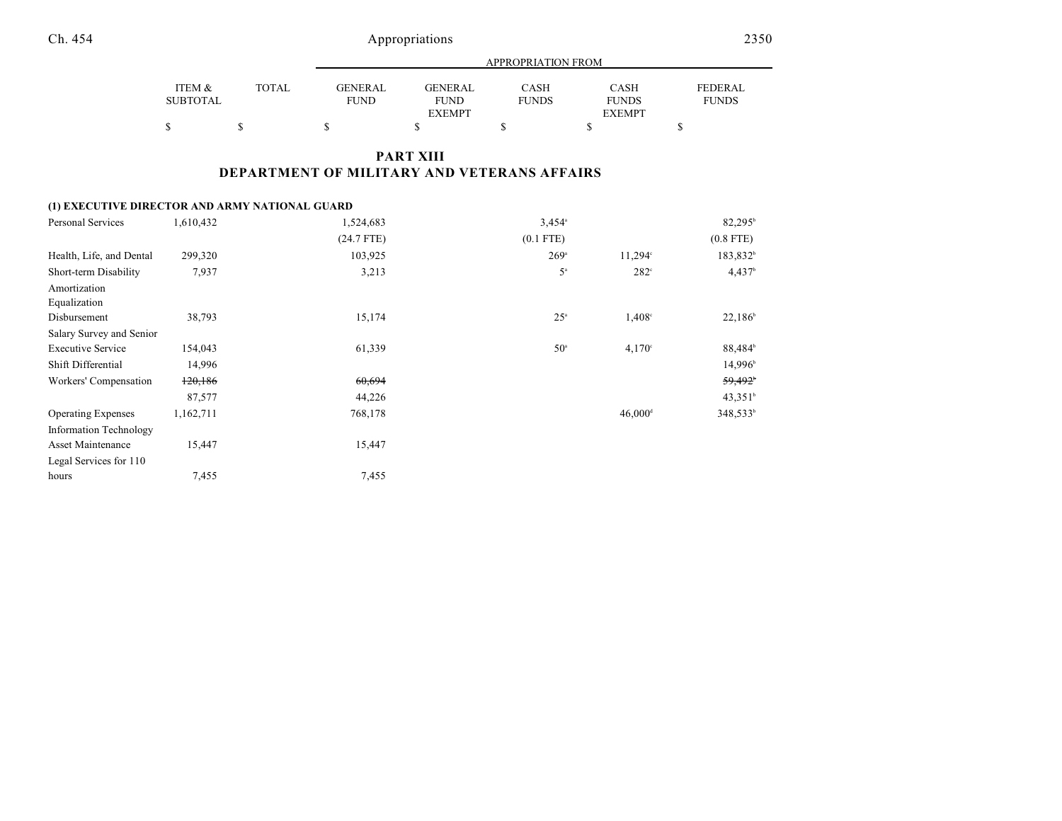|                 |              |             | APPROPRIATION FROM |              |               |              |  |  |
|-----------------|--------------|-------------|--------------------|--------------|---------------|--------------|--|--|
| ITEM &          | <b>TOTAL</b> | GENERAL     | <b>GENERAL</b>     | CASH         | CASH          | FEDERAL      |  |  |
| <b>SUBTOTAL</b> |              | <b>FUND</b> | <b>FUND</b>        | <b>FUNDS</b> | <b>FUNDS</b>  | <b>FUNDS</b> |  |  |
|                 |              |             | <b>EXEMPT</b>      |              | <b>EXEMPT</b> |              |  |  |
|                 |              |             |                    |              |               |              |  |  |

## **PART XIII DEPARTMENT OF MILITARY AND VETERANS AFFAIRS**

### **(1) EXECUTIVE DIRECTOR AND ARMY NATIONAL GUARD**

| Personal Services         | 1,610,432 | 1,524,683    | $3,454^{\circ}$  |                       | 82,295 <sup>b</sup>  |
|---------------------------|-----------|--------------|------------------|-----------------------|----------------------|
|                           |           | $(24.7$ FTE) | $(0.1$ FTE)      |                       | $(0.8$ FTE)          |
| Health, Life, and Dental  | 299,320   | 103,925      | $269^{\circ}$    | $11,294^{\circ}$      | 183,832 <sup>b</sup> |
| Short-term Disability     | 7,937     | 3,213        | $5^{\mathrm{a}}$ | $282^\circ$           | 4,437 <sup>b</sup>   |
| Amortization              |           |              |                  |                       |                      |
| Equalization              |           |              |                  |                       |                      |
| Disbursement              | 38,793    | 15,174       | 25 <sup>a</sup>  | 1,408°                | $22,186^{\circ}$     |
| Salary Survey and Senior  |           |              |                  |                       |                      |
| <b>Executive Service</b>  | 154,043   | 61,339       | $50^{\circ}$     | 4,170°                | 88,484 <sup>b</sup>  |
| Shift Differential        | 14,996    |              |                  |                       | 14,996 <sup>b</sup>  |
| Workers' Compensation     | 120,186   | 60,694       |                  |                       | 59,492               |
|                           | 87,577    | 44,226       |                  |                       | $43,351^b$           |
| <b>Operating Expenses</b> | 1,162,711 | 768,178      |                  | $46,000$ <sup>d</sup> | 348,533 <sup>b</sup> |
| Information Technology    |           |              |                  |                       |                      |
| Asset Maintenance         | 15,447    | 15,447       |                  |                       |                      |
| Legal Services for 110    |           |              |                  |                       |                      |
| hours                     | 7,455     | 7,455        |                  |                       |                      |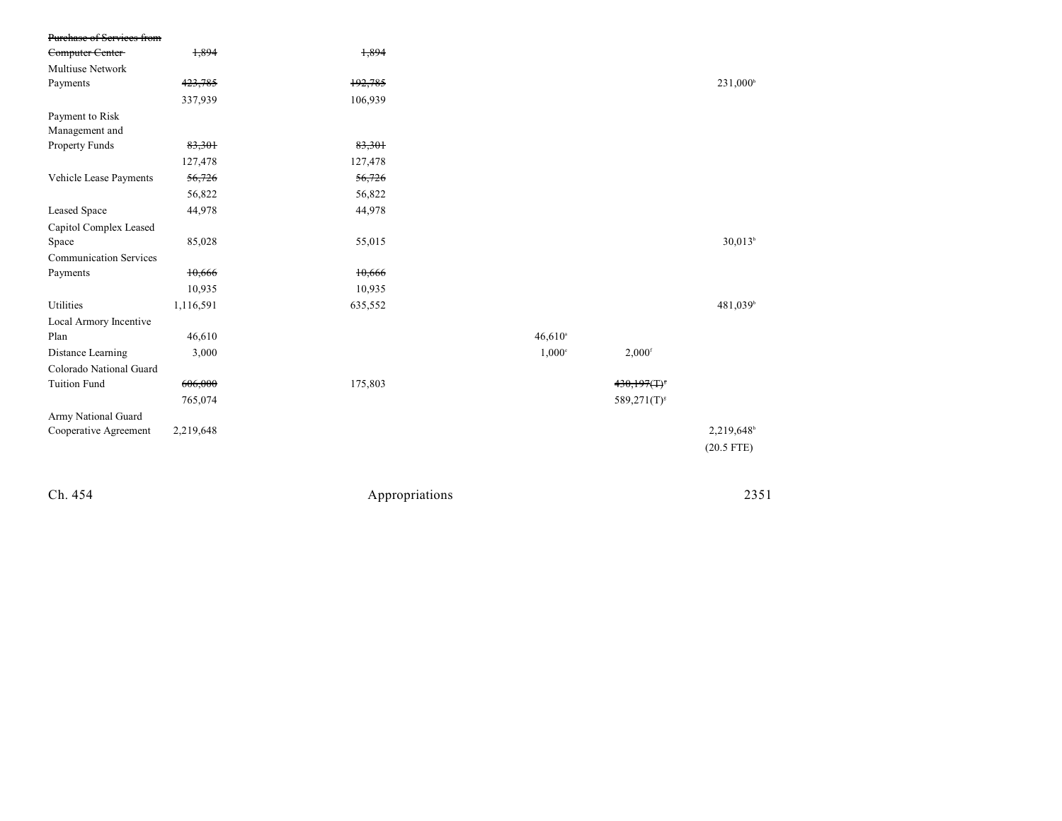| Purchase of Services from     |           |         |                |                       |                            |                      |
|-------------------------------|-----------|---------|----------------|-----------------------|----------------------------|----------------------|
| Computer Center-              | 1,894     | 1,894   |                |                       |                            |                      |
| Multiuse Network              |           |         |                |                       |                            |                      |
| Payments                      | 423,785   | 192,785 |                |                       |                            | 231,000 <sup>b</sup> |
|                               | 337,939   | 106,939 |                |                       |                            |                      |
| Payment to Risk               |           |         |                |                       |                            |                      |
| Management and                |           |         |                |                       |                            |                      |
| Property Funds                | 83,301    | 83,301  |                |                       |                            |                      |
|                               | 127,478   | 127,478 |                |                       |                            |                      |
| Vehicle Lease Payments        | 56,726    | 56,726  |                |                       |                            |                      |
|                               | 56,822    | 56,822  |                |                       |                            |                      |
| <b>Leased Space</b>           | 44,978    | 44,978  |                |                       |                            |                      |
| Capitol Complex Leased        |           |         |                |                       |                            |                      |
| Space                         | 85,028    | 55,015  |                |                       |                            | 30,013 <sup>b</sup>  |
| <b>Communication Services</b> |           |         |                |                       |                            |                      |
| Payments                      | 10,666    | 10,666  |                |                       |                            |                      |
|                               | 10,935    | 10,935  |                |                       |                            |                      |
| Utilities                     | 1,116,591 | 635,552 |                |                       |                            | $481,039^{\circ}$    |
| Local Armory Incentive        |           |         |                |                       |                            |                      |
| Plan                          | 46,610    |         |                | $46,610$ <sup>a</sup> |                            |                      |
| Distance Learning             | 3,000     |         |                | $1,000^\circ$         | $2,000$ <sup>f</sup>       |                      |
| Colorado National Guard       |           |         |                |                       |                            |                      |
| <b>Tuition Fund</b>           | 606,000   | 175,803 |                |                       | $430,197($ T) <sup>s</sup> |                      |
|                               | 765,074   |         |                |                       | $589,271(T)^{s}$           |                      |
| Army National Guard           |           |         |                |                       |                            |                      |
| Cooperative Agreement         | 2,219,648 |         |                |                       |                            | 2,219,648            |
|                               |           |         |                |                       |                            | $(20.5$ FTE)         |
|                               |           |         |                |                       |                            |                      |
|                               |           |         |                |                       |                            |                      |
| Ch. 454                       |           |         | Appropriations |                       |                            | 2351                 |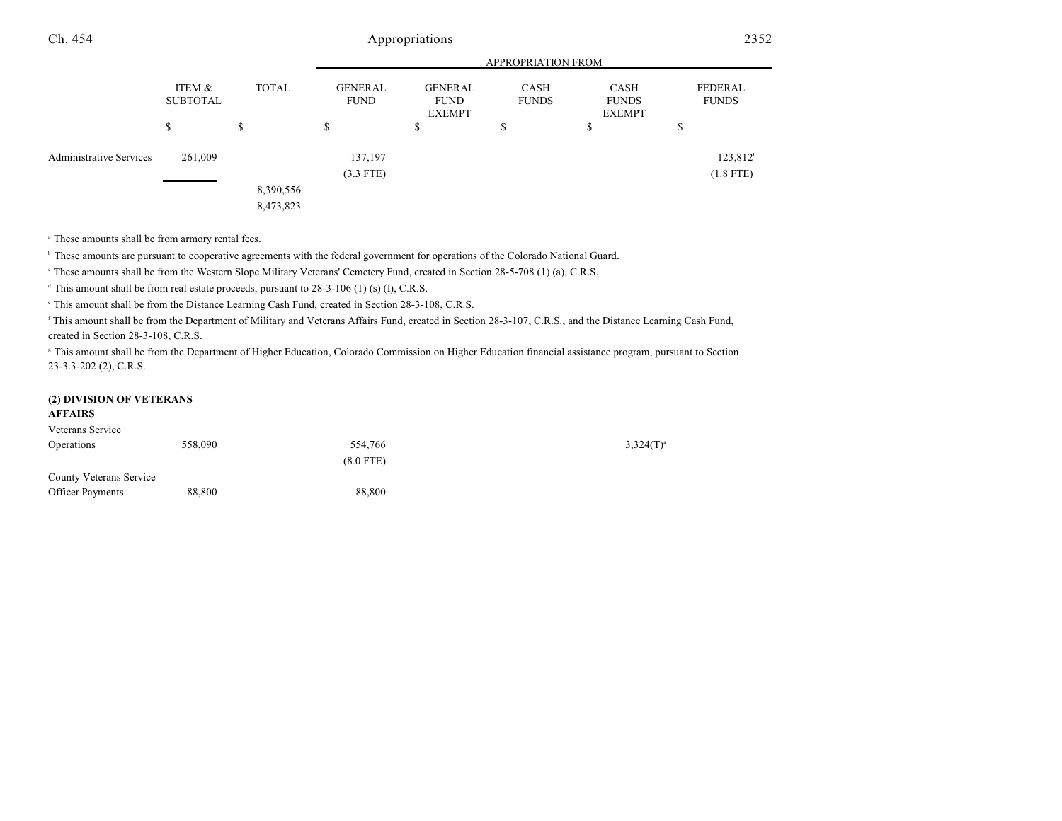## Ch. 454 Appropriations 2352

|                                |                           | <b>APPROPRIATION FROM</b> |                               |                                                |                      |                                              |                                |
|--------------------------------|---------------------------|---------------------------|-------------------------------|------------------------------------------------|----------------------|----------------------------------------------|--------------------------------|
|                                | ITEM &<br><b>SUBTOTAL</b> | <b>TOTAL</b>              | <b>GENERAL</b><br><b>FUND</b> | <b>GENERAL</b><br><b>FUND</b><br><b>EXEMPT</b> | CASH<br><b>FUNDS</b> | <b>CASH</b><br><b>FUNDS</b><br><b>EXEMPT</b> | <b>FEDERAL</b><br><b>FUNDS</b> |
|                                | \$                        | \$                        | ¢<br>ъ                        | \$                                             | ch<br>D              | \$                                           | ¢<br>ъ                         |
| <b>Administrative Services</b> | 261,009                   |                           | 137,197                       |                                                |                      |                                              | $123,812^b$                    |
|                                |                           |                           | $(3.3$ FTE)                   |                                                |                      |                                              | $(1.8$ FTE)                    |
|                                |                           | 8,390,556                 |                               |                                                |                      |                                              |                                |
|                                |                           | 8,473,823                 |                               |                                                |                      |                                              |                                |

<sup>a</sup> These amounts shall be from armory rental fees.

<sup>b</sup> These amounts are pursuant to cooperative agreements with the federal government for operations of the Colorado National Guard.

These amounts shall be from the Western Slope Military Veterans' Cemetery Fund, created in Section 28-5-708 (1) (a), C.R.S. <sup>c</sup>

 $\alpha$ <sup>t</sup> This amount shall be from real estate proceeds, pursuant to 28-3-106 (1) (s) (I), C.R.S.

<sup>e</sup> This amount shall be from the Distance Learning Cash Fund, created in Section 28-3-108, C.R.S.

<sup>f</sup> This amount shall be from the Department of Military and Veterans Affairs Fund, created in Section 28-3-107, C.R.S., and the Distance Learning Cash Fund, created in Section 28-3-108, C.R.S.

<sup>8</sup> This amount shall be from the Department of Higher Education, Colorado Commission on Higher Education financial assistance program, pursuant to Section 23-3.3-202 (2), C.R.S.

#### **(2) DIVISION OF VETERANS**

#### **AFFAIRS**

| Veterans Service        |         |             |                |
|-------------------------|---------|-------------|----------------|
| Operations              | 558,090 | 554,766     | $3,324(T)^{a}$ |
|                         |         | $(8.0$ FTE) |                |
| County Veterans Service |         |             |                |
| <b>Officer Payments</b> | 88,800  | 88,800      |                |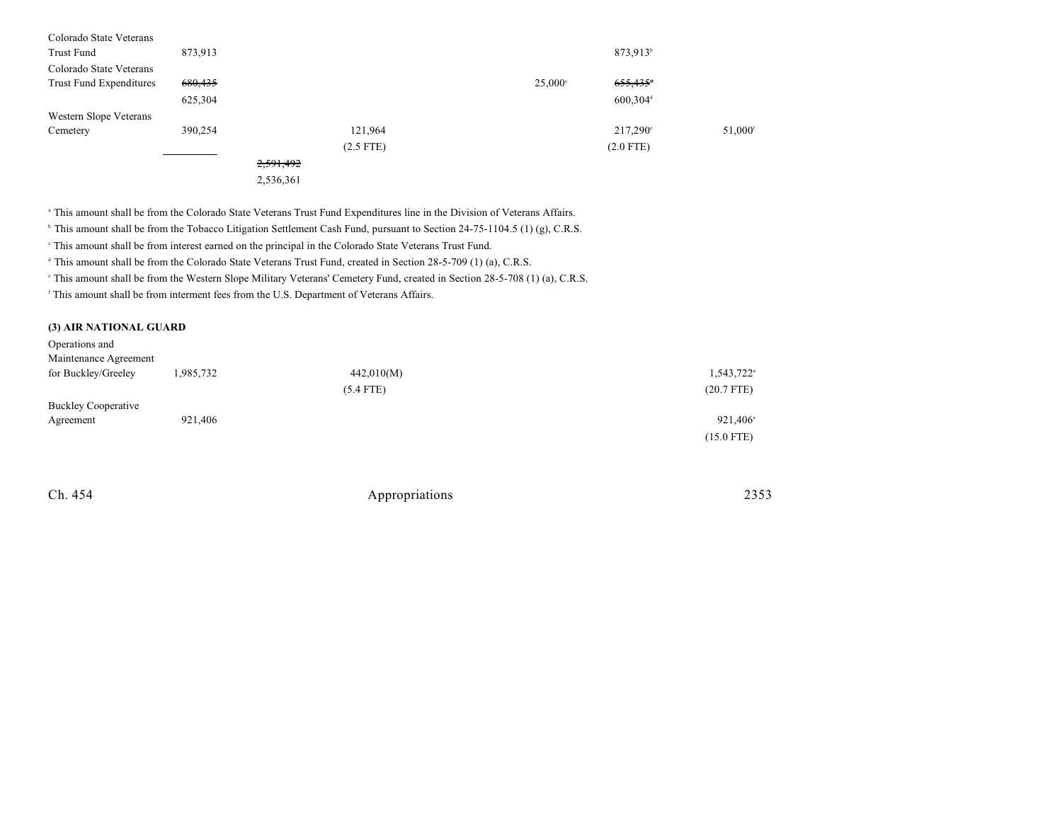| Colorado State Veterans        |         |           |             |                  |                        |                     |
|--------------------------------|---------|-----------|-------------|------------------|------------------------|---------------------|
|                                |         |           |             |                  |                        |                     |
| Trust Fund                     | 873,913 |           |             |                  | 873,913 <sup>b</sup>   |                     |
| Colorado State Veterans        |         |           |             |                  |                        |                     |
| <b>Trust Fund Expenditures</b> | 680,435 |           |             | $25,000^{\circ}$ | $655,435$ <sup>t</sup> |                     |
|                                | 625,304 |           |             |                  | $600,304$ <sup>d</sup> |                     |
| Western Slope Veterans         |         |           |             |                  |                        |                     |
| Cemetery                       | 390,254 |           | 121,964     |                  | 217,290°               | 51,000 <sup>f</sup> |
|                                |         |           | $(2.5$ FTE) |                  | $(2.0$ FTE)            |                     |
|                                |         | 2,591,492 |             |                  |                        |                     |
|                                |         | 2,536,361 |             |                  |                        |                     |

<sup>a</sup> This amount shall be from the Colorado State Veterans Trust Fund Expenditures line in the Division of Veterans Affairs.

<sup>b</sup> This amount shall be from the Tobacco Litigation Settlement Cash Fund, pursuant to Section 24-75-1104.5 (1) (g), C.R.S.

This amount shall be from interest earned on the principal in the Colorado State Veterans Trust Fund. <sup>c</sup>

<sup>d</sup> This amount shall be from the Colorado State Veterans Trust Fund, created in Section 28-5-709 (1) (a), C.R.S.

<sup>e</sup> This amount shall be from the Western Slope Military Veterans' Cemetery Fund, created in Section 28-5-708 (1) (a), C.R.S.

If This amount shall be from interment fees from the U.S. Department of Veterans Affairs.

#### **(3) AIR NATIONAL GUARD**

| Operations and<br>Maintenance Agreement |           |             |              |
|-----------------------------------------|-----------|-------------|--------------|
| for Buckley/Greeley                     | 1,985,732 | 442,010(M)  | 1,543,722    |
|                                         |           | $(5.4$ FTE) | $(20.7$ FTE) |
| <b>Buckley Cooperative</b>              |           |             |              |
| Agreement                               | 921,406   |             | 921,406      |
|                                         |           |             | $(15.0$ FTE) |

Ch. 454 Appropriations 2353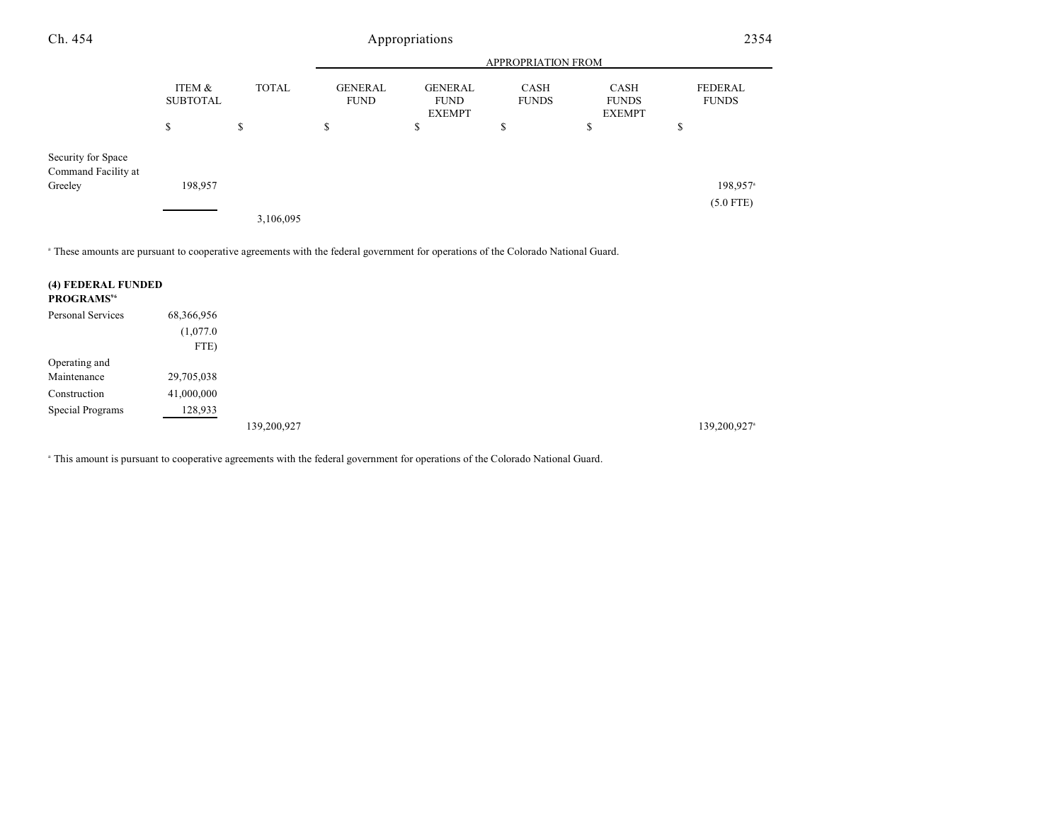| Ch. 454                                                                                                                                      |                           | 2354         |                               |                                                |                             |                                              |                                |  |
|----------------------------------------------------------------------------------------------------------------------------------------------|---------------------------|--------------|-------------------------------|------------------------------------------------|-----------------------------|----------------------------------------------|--------------------------------|--|
|                                                                                                                                              |                           |              |                               |                                                |                             | APPROPRIATION FROM                           |                                |  |
|                                                                                                                                              | ITEM &<br><b>SUBTOTAL</b> | <b>TOTAL</b> | <b>GENERAL</b><br><b>FUND</b> | <b>GENERAL</b><br><b>FUND</b><br><b>EXEMPT</b> | <b>CASH</b><br><b>FUNDS</b> | <b>CASH</b><br><b>FUNDS</b><br><b>EXEMPT</b> | <b>FEDERAL</b><br><b>FUNDS</b> |  |
|                                                                                                                                              | \$                        | \$           | \$                            | \$                                             | S                           | \$                                           | \$                             |  |
| Security for Space<br>Command Facility at                                                                                                    |                           |              |                               |                                                |                             |                                              |                                |  |
| Greeley                                                                                                                                      | 198,957                   |              |                               |                                                |                             |                                              | 198,957 <sup>a</sup>           |  |
|                                                                                                                                              |                           | 3,106,095    |                               |                                                |                             |                                              | $(5.0$ FTE)                    |  |
|                                                                                                                                              |                           |              |                               |                                                |                             |                                              |                                |  |
| <sup>a</sup> These amounts are pursuant to cooperative agreements with the federal government for operations of the Colorado National Guard. |                           |              |                               |                                                |                             |                                              |                                |  |

| (4) FEDERAL FUNDED<br>PROGRAMS <sup>96</sup> |            |             |             |
|----------------------------------------------|------------|-------------|-------------|
|                                              |            |             |             |
| Personal Services                            | 68,366,956 |             |             |
|                                              | (1,077.0)  |             |             |
|                                              | FTE)       |             |             |
| Operating and                                |            |             |             |
| Maintenance                                  | 29,705,038 |             |             |
| Construction                                 | 41,000,000 |             |             |
| Special Programs                             | 128,933    |             |             |
|                                              |            | 139,200,927 | 139,200,927 |

<sup>a</sup> This amount is pursuant to cooperative agreements with the federal government for operations of the Colorado National Guard.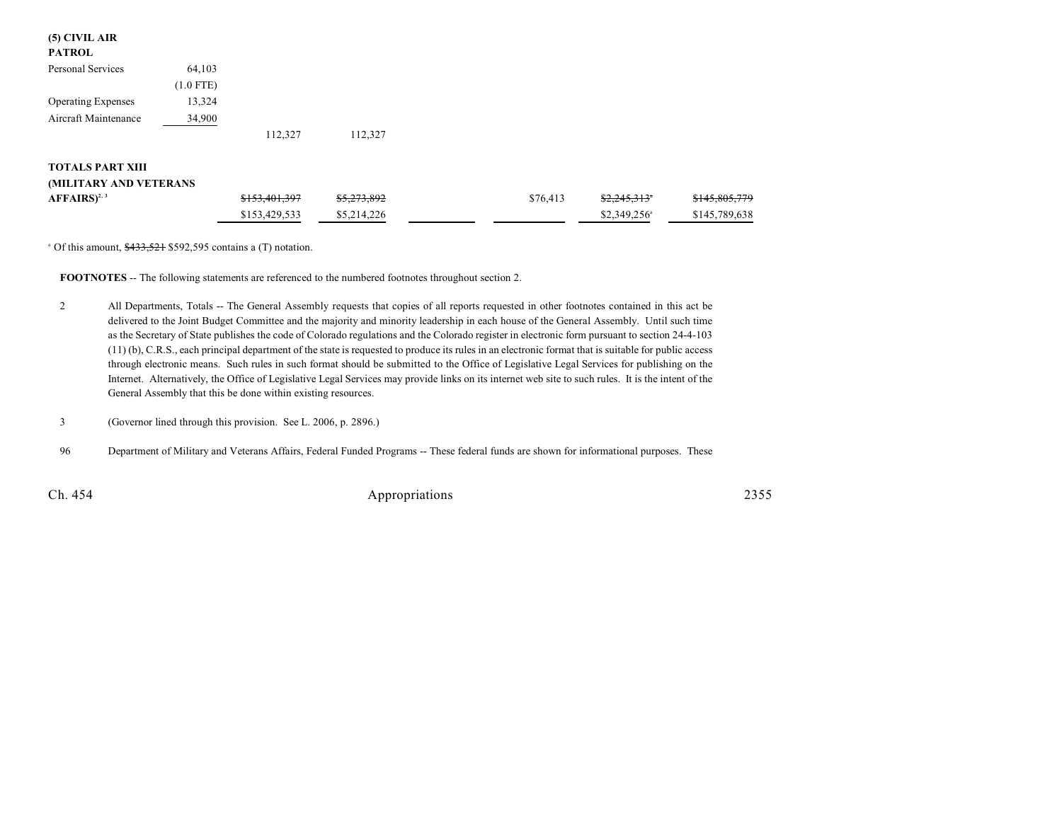| $(5)$ CIVIL AIR<br><b>PATROL</b> |             |               |             |          |                           |               |
|----------------------------------|-------------|---------------|-------------|----------|---------------------------|---------------|
| <b>Personal Services</b>         | 64,103      |               |             |          |                           |               |
|                                  | $(1.0$ FTE) |               |             |          |                           |               |
| <b>Operating Expenses</b>        | 13,324      |               |             |          |                           |               |
| Aircraft Maintenance             | 34,900      |               |             |          |                           |               |
|                                  |             | 112,327       | 112,327     |          |                           |               |
| <b>TOTALS PART XIII</b>          |             |               |             |          |                           |               |
| (MILITARY AND VETERANS           |             |               |             |          |                           |               |
| $AFFAIRS$ <sup>2, 3</sup>        |             | \$153,401,397 | \$5,273,892 | \$76,413 | \$2,245,313"              | \$145,805,779 |
|                                  |             | \$153,429,533 | \$5,214,226 |          | $$2,349,256$ <sup>a</sup> | \$145,789,638 |
|                                  |             |               |             |          |                           |               |

<sup>a</sup> Of this amount,  $\frac{$433,521}{100}$  \$592,595 contains a (T) notation.

**FOOTNOTES** -- The following statements are referenced to the numbered footnotes throughout section 2.

2 All Departments, Totals -- The General Assembly requests that copies of all reports requested in other footnotes contained in this act be delivered to the Joint Budget Committee and the majority and minority leadership in each house of the General Assembly. Until such time as the Secretary of State publishes the code of Colorado regulations and the Colorado register in electronic form pursuant to section 24-4-103 (11) (b), C.R.S., each principal department of the state is requested to produce its rules in an electronic format that is suitable for public access through electronic means. Such rules in such format should be submitted to the Office of Legislative Legal Services for publishing on the Internet. Alternatively, the Office of Legislative Legal Services may provide links on its internet web site to such rules. It is the intent of the General Assembly that this be done within existing resources.

3 (Governor lined through this provision. See L. 2006, p. 2896.)

96 Department of Military and Veterans Affairs, Federal Funded Programs -- These federal funds are shown for informational purposes. These

Ch. 454 Appropriations 2355